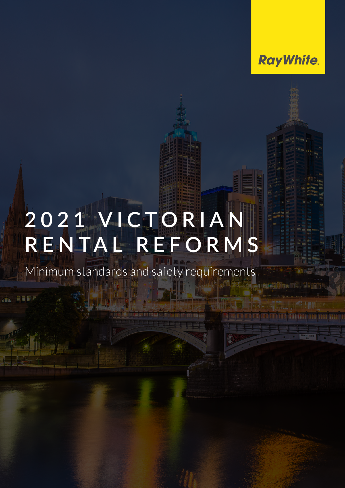

# **2 0 2 1 V I C T O R I A N RENTAL REFORMS**

Minimum standards and safety requirements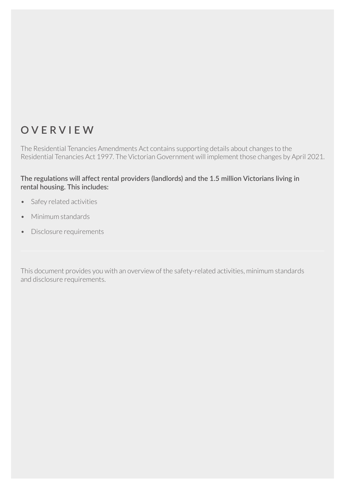#### **OVERVIEW**

The Residential Tenancies Amendments Act contains supporting details about changes to the Residential Tenancies Act 1997. The Victorian Government will implement those changes by April 2021.

**The regulations will affect rental providers (landlords) and the 1.5 million Victorians living in rental housing. This includes:**

- Safey related activities
- Minimum standards
- Disclosure requirements

This document provides you with an overview of the safety-related activities, minimum standards and disclosure requirements.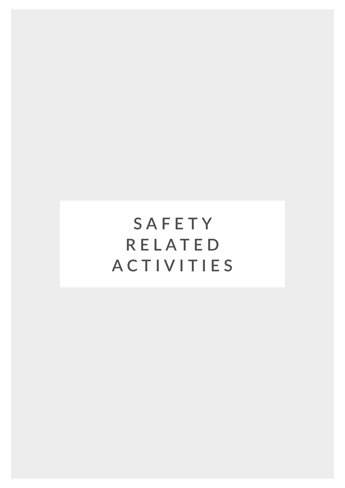**SAFETY RELATED ACTIVITIES**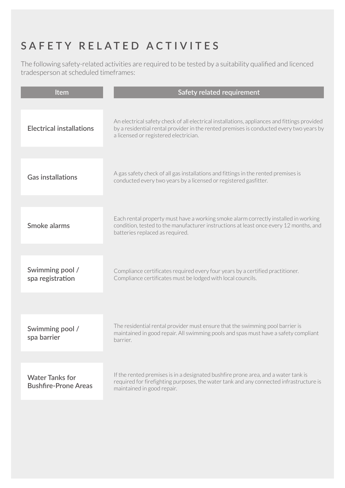## **SAFETY RELATED ACTIVITES**

The following safety-related activities are required to be tested by a suitability qualified and licenced tradesperson at scheduled timeframes:

| Item                                                  | Safety related requirement                                                                                                                                                                                                       |
|-------------------------------------------------------|----------------------------------------------------------------------------------------------------------------------------------------------------------------------------------------------------------------------------------|
| <b>Electrical installations</b>                       | An electrical safety check of all electrical installations, appliances and fittings provided<br>by a residential rental provider in the rented premises is conducted every two years by<br>a licensed or registered electrician. |
|                                                       |                                                                                                                                                                                                                                  |
| <b>Gas installations</b>                              | A gas safety check of all gas installations and fittings in the rented premises is<br>conducted every two years by a licensed or registered gasfitter.                                                                           |
|                                                       |                                                                                                                                                                                                                                  |
| Smoke alarms                                          | Each rental property must have a working smoke alarm correctly installed in working<br>condition, tested to the manufacturer instructions at least once every 12 months, and<br>batteries replaced as required.                  |
|                                                       |                                                                                                                                                                                                                                  |
| Swimming pool /<br>spa registration                   | Compliance certificates required every four years by a certified practitioner.<br>Compliance certificates must be lodged with local councils.                                                                                    |
|                                                       |                                                                                                                                                                                                                                  |
| Swimming pool /<br>spa barrier                        | The residential rental provider must ensure that the swimming pool barrier is<br>maintained in good repair. All swimming pools and spas must have a safety compliant<br>barrier.                                                 |
|                                                       |                                                                                                                                                                                                                                  |
| <b>Water Tanks for</b><br><b>Bushfire-Prone Areas</b> | If the rented premises is in a designated bushfire prone area, and a water tank is<br>required for firefighting purposes, the water tank and any connected infrastructure is<br>maintained in good repair.                       |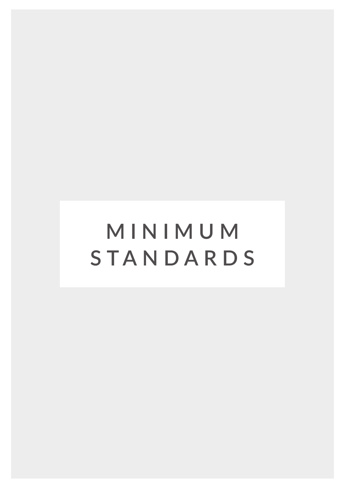# **MINIMUM STANDARDS**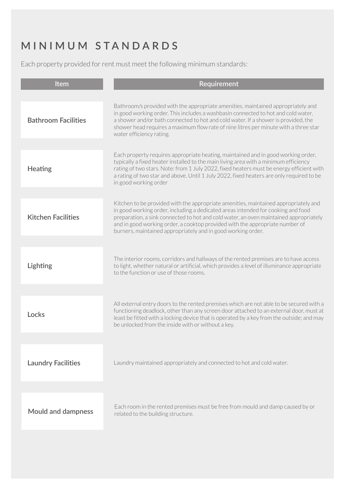### **MINIMUM STANDARDS**

Each property provided for rent must meet the following minimum standards:

| Item                       | Requirement                                                                                                                                                                                                                                                                                                                                                                                                      |
|----------------------------|------------------------------------------------------------------------------------------------------------------------------------------------------------------------------------------------------------------------------------------------------------------------------------------------------------------------------------------------------------------------------------------------------------------|
|                            |                                                                                                                                                                                                                                                                                                                                                                                                                  |
| <b>Bathroom Facilities</b> | Bathroom/s provided with the appropriate amenities, maintained appropriately and<br>in good working order. This includes a washbasin connected to hot and cold water,<br>a shower and/or bath connected to hot and cold water. If a shower is provided, the<br>shower head requires a maximum flow rate of nine litres per minute with a three star<br>water efficiency rating.                                  |
|                            |                                                                                                                                                                                                                                                                                                                                                                                                                  |
| <b>Heating</b>             | Each property requires appropriate heating, maintained and in good working order,<br>typically a fixed heater installed to the main living area with a minimum efficiency<br>rating of two stars. Note: from 1 July 2022, fixed heaters must be energy efficient with<br>a rating of two star and above. Until 1 July 2022, fixed heaters are only required to be<br>in good working order                       |
|                            |                                                                                                                                                                                                                                                                                                                                                                                                                  |
| <b>Kitchen Facilities</b>  | Kitchen to be provided with the appropriate amenities, maintained appropriately and<br>in good working order, including a dedicated areas intended for cooking and food<br>preparation, a sink connected to hot and cold water, an oven maintained appropriately<br>and in good working order, a cooktop provided with the appropriate number of<br>burners, maintained appropriately and in good working order. |
|                            |                                                                                                                                                                                                                                                                                                                                                                                                                  |
| Lighting                   | The interior rooms, corridors and hallways of the rented premises are to have access<br>to light, whether natural or artificial, which provides a level of illuminance appropriate<br>to the function or use of those rooms.                                                                                                                                                                                     |
|                            |                                                                                                                                                                                                                                                                                                                                                                                                                  |
| Locks                      | All external entry doors to the rented premises which are not able to be secured with a<br>functioning deadlock, other than any screen door attached to an external door, must at<br>least be fitted with a locking device that is operated by a key from the outside; and may<br>be unlocked from the inside with or without a key.                                                                             |
|                            |                                                                                                                                                                                                                                                                                                                                                                                                                  |
| <b>Laundry Facilities</b>  | Laundry maintained appropriately and connected to hot and cold water.                                                                                                                                                                                                                                                                                                                                            |
|                            |                                                                                                                                                                                                                                                                                                                                                                                                                  |
| <b>Mould and dampness</b>  | Each room in the rented premises must be free from mould and damp caused by or<br>related to the building structure.                                                                                                                                                                                                                                                                                             |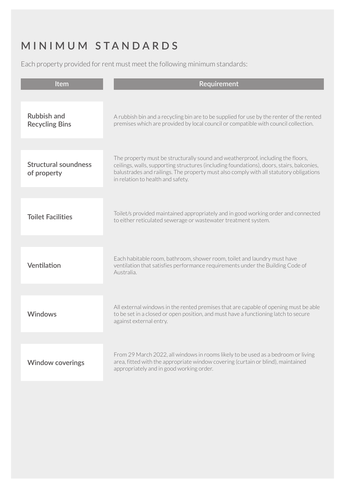### **MINIMUM STANDARDS**

Each property provided for rent must meet the following minimum standards:

| Item                                        | <b>Requirement</b>                                                                                                                                                                                                                                                                                          |
|---------------------------------------------|-------------------------------------------------------------------------------------------------------------------------------------------------------------------------------------------------------------------------------------------------------------------------------------------------------------|
|                                             |                                                                                                                                                                                                                                                                                                             |
| <b>Rubbish and</b><br><b>Recycling Bins</b> | A rubbish bin and a recycling bin are to be supplied for use by the renter of the rented<br>premises which are provided by local council or compatible with council collection.                                                                                                                             |
|                                             |                                                                                                                                                                                                                                                                                                             |
| <b>Structural soundness</b><br>of property  | The property must be structurally sound and weatherproof, including the floors,<br>ceilings, walls, supporting structures (including foundations), doors, stairs, balconies,<br>balustrades and railings. The property must also comply with all statutory obligations<br>in relation to health and safety. |
|                                             |                                                                                                                                                                                                                                                                                                             |
| <b>Toilet Facilities</b>                    | Toilet/s provided maintained appropriately and in good working order and connected<br>to either reticulated sewerage or wastewater treatment system.                                                                                                                                                        |
|                                             |                                                                                                                                                                                                                                                                                                             |
| Ventilation                                 | Each habitable room, bathroom, shower room, toilet and laundry must have<br>ventilation that satisfies performance requirements under the Building Code of<br>Australia.                                                                                                                                    |
|                                             |                                                                                                                                                                                                                                                                                                             |
| <b>Windows</b>                              | All external windows in the rented premises that are capable of opening must be able<br>to be set in a closed or open position, and must have a functioning latch to secure<br>against external entry.                                                                                                      |
|                                             |                                                                                                                                                                                                                                                                                                             |
| <b>Window coverings</b>                     | From 29 March 2022, all windows in rooms likely to be used as a bedroom or living<br>area, fitted with the appropriate window covering (curtain or blind), maintained<br>appropriately and in good working order.                                                                                           |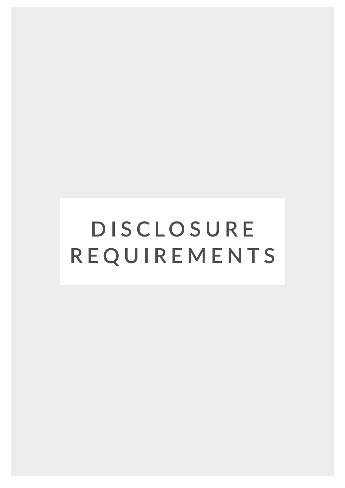**DISCLOSURE REQUIREMENTS**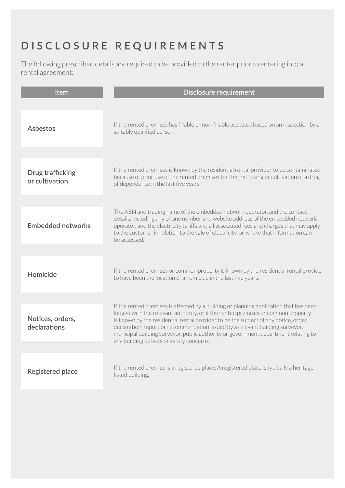### **DISCLOSURE REQUIREMENTS**

The following prescribed details are required to be provided to the renter prior to entering into a rental agreement:

| <b>Item</b>                               | <b>Disclosure requirement</b>                                                                                                                                                                                                                                                                                                                                                                                                                                                        |
|-------------------------------------------|--------------------------------------------------------------------------------------------------------------------------------------------------------------------------------------------------------------------------------------------------------------------------------------------------------------------------------------------------------------------------------------------------------------------------------------------------------------------------------------|
| <b>Asbestos</b>                           | If the rented premises has friable or non-friable asbestos based on an inspection by a<br>suitably qualified person.                                                                                                                                                                                                                                                                                                                                                                 |
| <b>Drug trafficking</b><br>or cultivation | If the rented premises is known by the residential rental provider to be contaminated<br>because of prior use of the rented premises for the trafficking or cultivation of a drug<br>of dependence in the last five years.                                                                                                                                                                                                                                                           |
| <b>Embedded networks</b>                  | The ABN and trading name of the embedded network operator, and the contact<br>details, including any phone number and website address of the embedded network<br>operator, and the electricity tariffs and all associated fees and charges that may apply<br>to the customer in relation to the sale of electricity, or where that information can<br>be accessed.                                                                                                                   |
| Homicide                                  | If the rented premises or common property is known by the residential rental provider<br>to have been the location of a homicide in the last five years.                                                                                                                                                                                                                                                                                                                             |
| Notices, orders,<br>declarations          | If the rented premises is affected by a building or planning application that has been<br>lodged with the relevant authority, or if the rented premises or common property<br>is known by the residential rental provider to be the subject of any notice, order,<br>declaration, report or recommendation issued by a relevant building surveyor,<br>municipal building surveyor, public authority or government department relating to<br>any building defects or safety concerns. |
| <b>Registered place</b>                   | If the rented premise is a registered place. A registered place is typically a heritage<br>listed building.                                                                                                                                                                                                                                                                                                                                                                          |